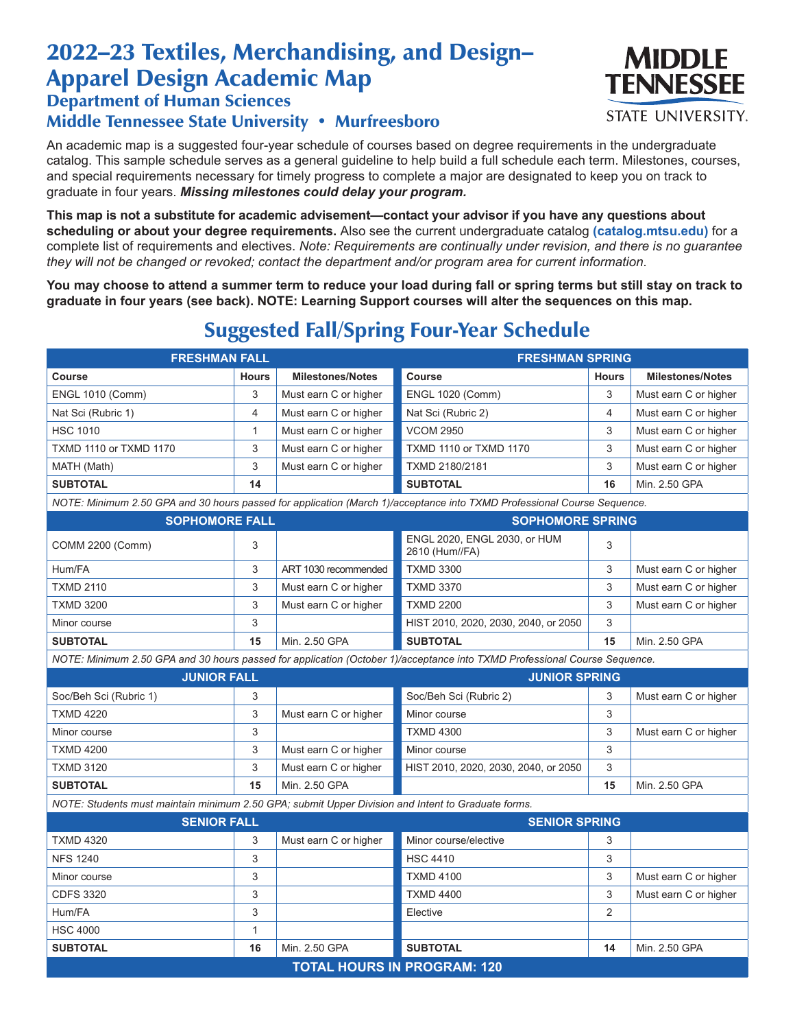## 2022–23 Textiles, Merchandising, and Design– Apparel Design Academic Map

Department of Human Sciences

## Middle Tennessee State University • Murfreesboro

An academic map is a suggested four-year schedule of courses based on degree requirements in the undergraduate catalog. This sample schedule serves as a general guideline to help build a full schedule each term. Milestones, courses, and special requirements necessary for timely progress to complete a major are designated to keep you on track to graduate in four years. *Missing milestones could delay your program.*

**This map is not a substitute for academic advisement—contact your advisor if you have any questions about scheduling or about your degree requirements.** Also see the current undergraduate catalog **(catalog.mtsu.edu)** for a complete list of requirements and electives. *Note: Requirements are continually under revision, and there is no guarantee they will not be changed or revoked; contact the department and/or program area for current information.*

**You may choose to attend a summer term to reduce your load during fall or spring terms but still stay on track to graduate in four years (see back). NOTE: Learning Support courses will alter the sequences on this map.**

## Suggested Fall/Spring Four-Year Schedule

| <b>FRESHMAN FALL</b>                                                                                                      |                |                         | <b>FRESHMAN SPRING</b>                         |                |                         |  |  |  |
|---------------------------------------------------------------------------------------------------------------------------|----------------|-------------------------|------------------------------------------------|----------------|-------------------------|--|--|--|
| Course                                                                                                                    | <b>Hours</b>   | <b>Milestones/Notes</b> | Course                                         | <b>Hours</b>   | <b>Milestones/Notes</b> |  |  |  |
| <b>ENGL 1010 (Comm)</b>                                                                                                   | 3              | Must earn C or higher   | <b>ENGL 1020 (Comm)</b>                        | 3              | Must earn C or higher   |  |  |  |
| Nat Sci (Rubric 1)                                                                                                        | $\overline{4}$ | Must earn C or higher   | Nat Sci (Rubric 2)                             | 4              | Must earn C or higher   |  |  |  |
| <b>HSC 1010</b>                                                                                                           | $\mathbf{1}$   | Must earn C or higher   | <b>VCOM 2950</b>                               | 3              | Must earn C or higher   |  |  |  |
| TXMD 1110 or TXMD 1170                                                                                                    | 3              | Must earn C or higher   | TXMD 1110 or TXMD 1170                         | 3              | Must earn C or higher   |  |  |  |
| MATH (Math)                                                                                                               | 3              | Must earn C or higher   | TXMD 2180/2181                                 | 3              | Must earn C or higher   |  |  |  |
| <b>SUBTOTAL</b>                                                                                                           | 14             |                         | <b>SUBTOTAL</b>                                | 16             | Min. 2.50 GPA           |  |  |  |
| NOTE: Minimum 2.50 GPA and 30 hours passed for application (March 1)/acceptance into TXMD Professional Course Sequence.   |                |                         |                                                |                |                         |  |  |  |
| <b>SOPHOMORE FALL</b>                                                                                                     |                |                         | <b>SOPHOMORE SPRING</b>                        |                |                         |  |  |  |
| COMM 2200 (Comm)                                                                                                          | 3              |                         | ENGL 2020, ENGL 2030, or HUM<br>2610 (Hum//FA) | 3              |                         |  |  |  |
| Hum/FA                                                                                                                    | 3              | ART 1030 recommended    | <b>TXMD 3300</b>                               | 3              | Must earn C or higher   |  |  |  |
| <b>TXMD 2110</b>                                                                                                          | 3              | Must earn C or higher   | <b>TXMD 3370</b>                               | 3              | Must earn C or higher   |  |  |  |
| <b>TXMD 3200</b>                                                                                                          | 3              | Must earn C or higher   | <b>TXMD 2200</b>                               | 3              | Must earn C or higher   |  |  |  |
| Minor course                                                                                                              | 3              |                         | HIST 2010, 2020, 2030, 2040, or 2050           | 3              |                         |  |  |  |
| <b>SUBTOTAL</b>                                                                                                           | 15             | Min. 2.50 GPA           | <b>SUBTOTAL</b>                                | 15             | Min. 2.50 GPA           |  |  |  |
| NOTE: Minimum 2.50 GPA and 30 hours passed for application (October 1)/acceptance into TXMD Professional Course Sequence. |                |                         |                                                |                |                         |  |  |  |
| <b>JUNIOR FALL</b>                                                                                                        |                |                         | <b>JUNIOR SPRING</b>                           |                |                         |  |  |  |
| Soc/Beh Sci (Rubric 1)                                                                                                    | 3              |                         | Soc/Beh Sci (Rubric 2)                         | 3              | Must earn C or higher   |  |  |  |
| <b>TXMD 4220</b>                                                                                                          | 3              | Must earn C or higher   | Minor course                                   | 3              |                         |  |  |  |
| Minor course                                                                                                              | 3              |                         | <b>TXMD 4300</b>                               | 3              | Must earn C or higher   |  |  |  |
| <b>TXMD 4200</b>                                                                                                          | 3              | Must earn C or higher   | Minor course                                   | 3              |                         |  |  |  |
| <b>TXMD 3120</b>                                                                                                          | 3              | Must earn C or higher   | HIST 2010, 2020, 2030, 2040, or 2050           | 3              |                         |  |  |  |
| <b>SUBTOTAL</b>                                                                                                           | 15             | Min. 2.50 GPA           |                                                | 15             | Min. 2.50 GPA           |  |  |  |
| NOTE: Students must maintain minimum 2.50 GPA; submit Upper Division and Intent to Graduate forms.                        |                |                         |                                                |                |                         |  |  |  |
| <b>SENIOR FALL</b>                                                                                                        |                |                         | <b>SENIOR SPRING</b>                           |                |                         |  |  |  |
| <b>TXMD 4320</b>                                                                                                          | 3              | Must earn C or higher   | Minor course/elective                          | 3              |                         |  |  |  |
| <b>NFS 1240</b>                                                                                                           | 3              |                         | <b>HSC 4410</b>                                | 3              |                         |  |  |  |
| Minor course                                                                                                              | 3              |                         | <b>TXMD 4100</b>                               | 3              | Must earn C or higher   |  |  |  |
| <b>CDFS 3320</b>                                                                                                          | 3              |                         | <b>TXMD 4400</b>                               | 3              | Must earn C or higher   |  |  |  |
| Hum/FA                                                                                                                    | 3              |                         | Elective                                       | $\overline{2}$ |                         |  |  |  |
| <b>HSC 4000</b>                                                                                                           | $\mathbf{1}$   |                         |                                                |                |                         |  |  |  |
| <b>SUBTOTAL</b>                                                                                                           | 16             | Min. 2.50 GPA           | <b>SUBTOTAL</b>                                | 14             | Min. 2.50 GPA           |  |  |  |
| <b>TOTAL HOURS IN PROGRAM: 120</b>                                                                                        |                |                         |                                                |                |                         |  |  |  |